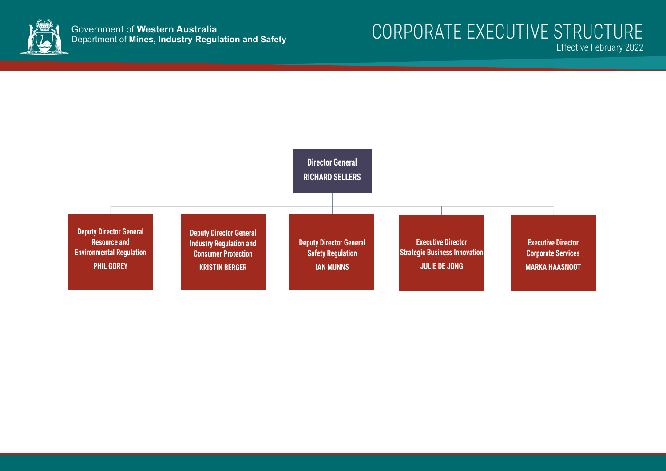